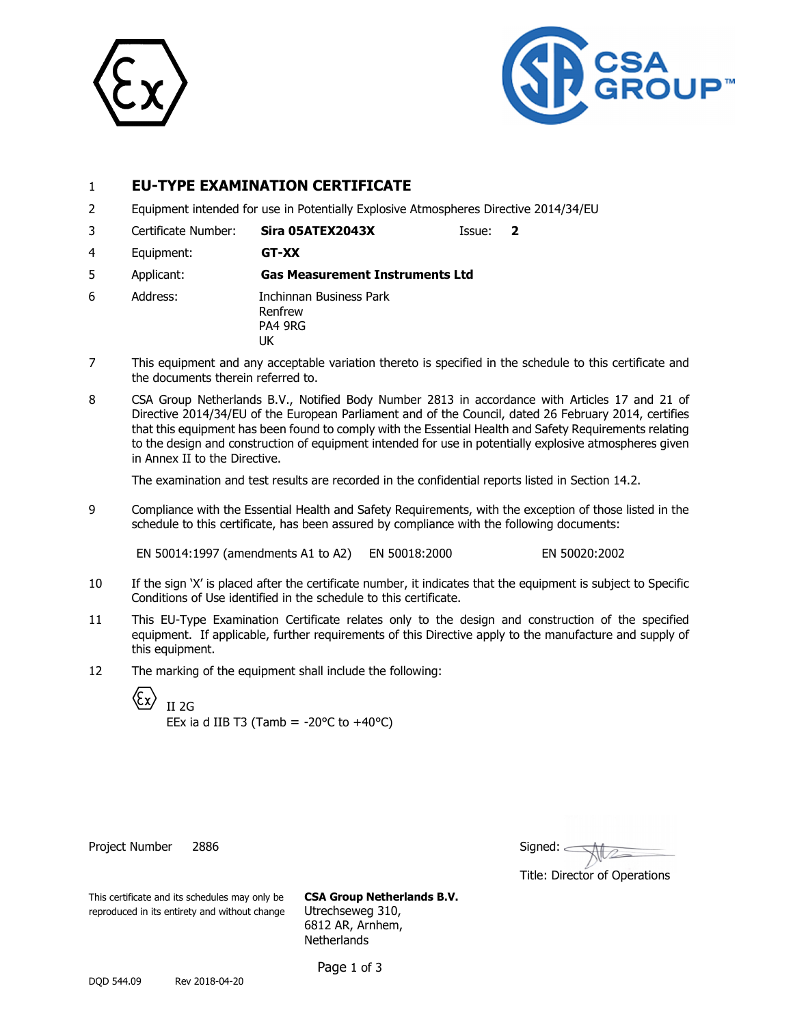



# 1 **EU-TYPE EXAMINATION CERTIFICATE**

2 Equipment intended for use in Potentially Explosive Atmospheres Directive 2014/34/EU

3 Certificate Number: **Sira 05ATEX2043X** Issue: **2** 

4 Equipment: **GT-XX** 

5 Applicant: **Gas Measurement Instruments Ltd** 

- 6 Address: Inchinnan Business Park Renfrew PA4 9RG UK
- 7 This equipment and any acceptable variation thereto is specified in the schedule to this certificate and the documents therein referred to.
- 8 CSA Group Netherlands B.V., Notified Body Number 2813 in accordance with Articles 17 and 21 of Directive 2014/34/EU of the European Parliament and of the Council, dated 26 February 2014, certifies that this equipment has been found to comply with the Essential Health and Safety Requirements relating to the design and construction of equipment intended for use in potentially explosive atmospheres given in Annex II to the Directive.

The examination and test results are recorded in the confidential reports listed in Section 14.2.

9 Compliance with the Essential Health and Safety Requirements, with the exception of those listed in the schedule to this certificate, has been assured by compliance with the following documents:

EN 50014:1997 (amendments A1 to A2) EN 50018:2000 EN 50020:2002

- 10 If the sign 'X' is placed after the certificate number, it indicates that the equipment is subject to Specific Conditions of Use identified in the schedule to this certificate.
- 11 This EU-Type Examination Certificate relates only to the design and construction of the specified equipment. If applicable, further requirements of this Directive apply to the manufacture and supply of this equipment.
- 12 The marking of the equipment shall include the following:

€ II 2G

EEx ia d IIB T3 (Tamb =  $-20^{\circ}$ C to  $+40^{\circ}$ C)

Project Number 2886

| Signed: |  |
|---------|--|
|         |  |

Title: Director of Operations

This certificate and its schedules may only be **CSA Group Netherlands B.V.** reproduced in its entirety and without change Utrechseweg 310,

6812 AR, Arnhem, **Netherlands**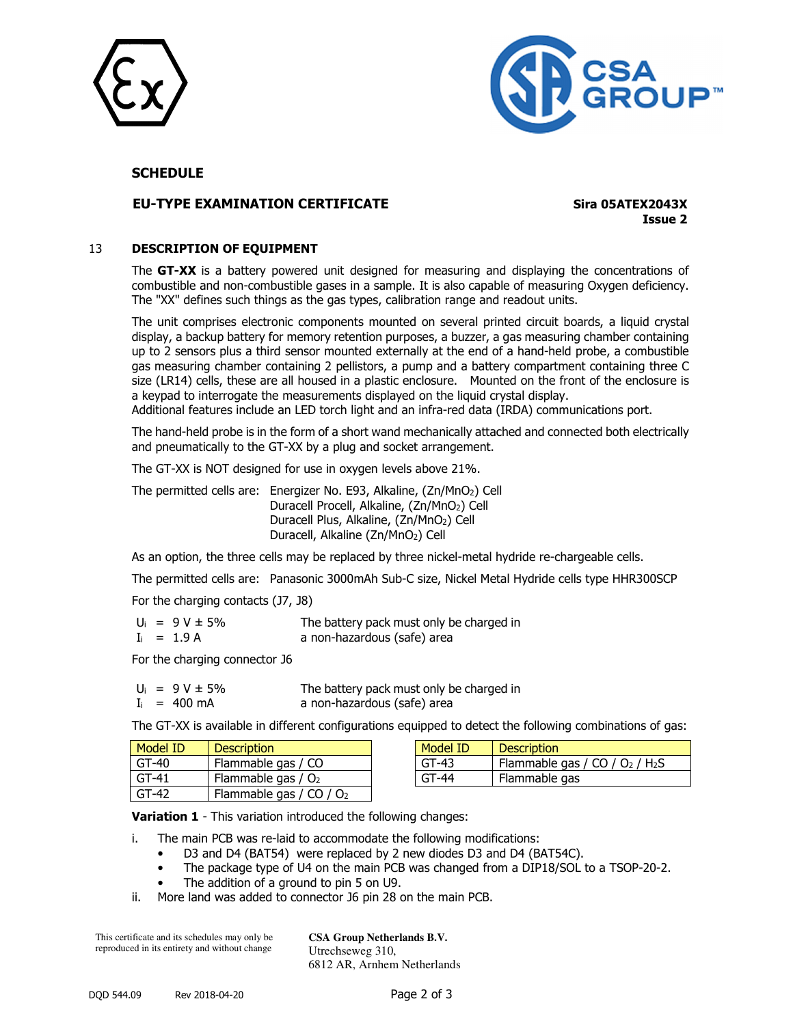



## **SCHEDULE**

## **EU-TYPE EXAMINATION CERTIFICATE Sira 05ATEX2043X**

**Issue 2**

#### 13 **DESCRIPTION OF EQUIPMENT**

The **GT-XX** is a battery powered unit designed for measuring and displaying the concentrations of combustible and non-combustible gases in a sample. It is also capable of measuring Oxygen deficiency. The "XX" defines such things as the gas types, calibration range and readout units.

The unit comprises electronic components mounted on several printed circuit boards, a liquid crystal display, a backup battery for memory retention purposes, a buzzer, a gas measuring chamber containing up to 2 sensors plus a third sensor mounted externally at the end of a hand-held probe, a combustible gas measuring chamber containing 2 pellistors, a pump and a battery compartment containing three C size (LR14) cells, these are all housed in a plastic enclosure. Mounted on the front of the enclosure is a keypad to interrogate the measurements displayed on the liquid crystal display. Additional features include an LED torch light and an infra-red data (IRDA) communications port.

The hand-held probe is in the form of a short wand mechanically attached and connected both electrically and pneumatically to the GT-XX by a plug and socket arrangement.

The GT-XX is NOT designed for use in oxygen levels above 21%.

The permitted cells are: Energizer No. E93, Alkaline, (Zn/MnO<sub>2</sub>) Cell Duracell Procell, Alkaline, (Zn/MnO2) Cell Duracell Plus, Alkaline, (Zn/MnO2) Cell Duracell, Alkaline (Zn/MnO2) Cell

As an option, the three cells may be replaced by three nickel-metal hydride re-chargeable cells.

The permitted cells are: Panasonic 3000mAh Sub-C size, Nickel Metal Hydride cells type HHR300SCP

For the charging contacts (J7, J8)

| $U_i = 9 V \pm 5\%$ | The battery pack must only be charged in |
|---------------------|------------------------------------------|
| $I_i = 1.9 A$       | a non-hazardous (safe) area              |

For the charging connector J6

|  | $U_i = 9 V \pm 5\%$    | The battery pack must only be charged in |
|--|------------------------|------------------------------------------|
|  | $I_i = 400 \text{ mA}$ | a non-hazardous (safe) area              |

The GT-XX is available in different configurations equipped to detect the following combinations of gas:

| Model ID | <b>Description</b>          | Model ID | <b>Description</b>                           |
|----------|-----------------------------|----------|----------------------------------------------|
| $GT-40$  | Flammable gas / CO          | $GT-43$  | Flammable gas / CO / $O2$ / H <sub>2</sub> S |
| $GT-41$  | Flammable gas / $O2$        | $GT-44$  | Flammable gas                                |
| $GT-42$  | Flammable gas / $CO$ / $O2$ |          |                                              |

**Variation 1** - This variation introduced the following changes:

i. The main PCB was re-laid to accommodate the following modifications:

- D3 and D4 (BAT54) were replaced by 2 new diodes D3 and D4 (BAT54C).
- The package type of U4 on the main PCB was changed from a DIP18/SOL to a TSOP-20-2.
- The addition of a ground to pin 5 on U9.
- ii. More land was added to connector J6 pin 28 on the main PCB.

This certificate and its schedules may only be reproduced in its entirety and without change

**CSA Group Netherlands B.V.** Utrechseweg 310, 6812 AR, Arnhem Netherlands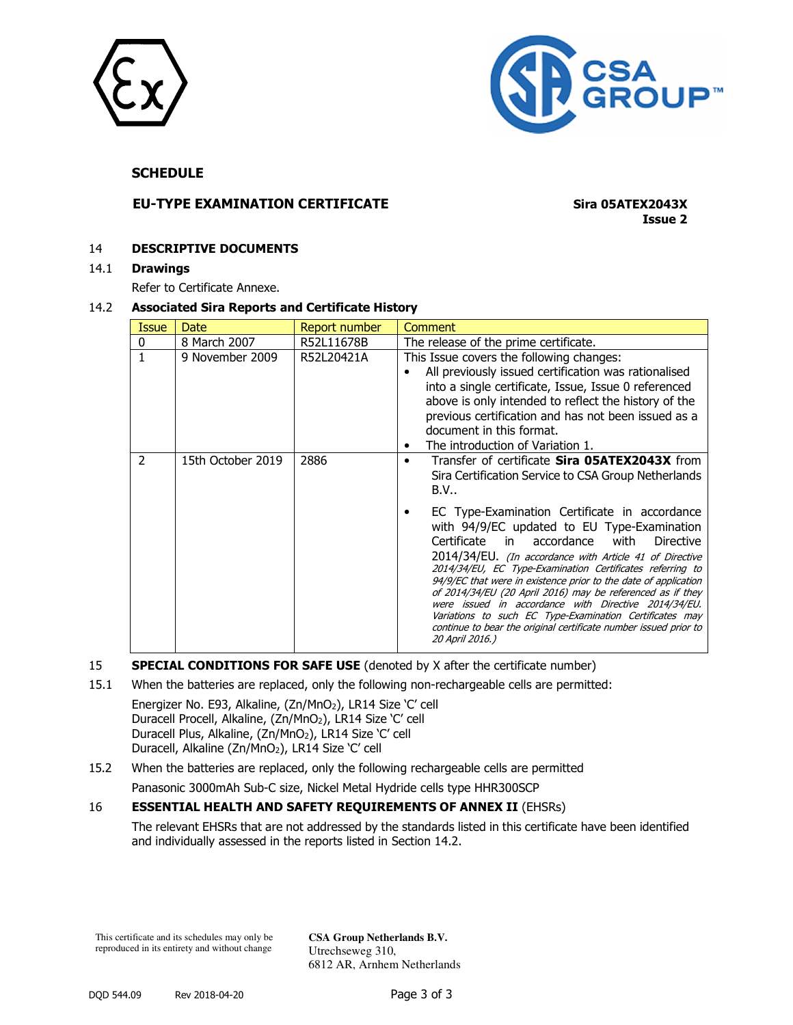



## **SCHEDULE**

## **EU-TYPE EXAMINATION CERTIFICATE Sira 05ATEX2043X**

**Issue 2**

#### 14 **DESCRIPTIVE DOCUMENTS**

14.1 **Drawings** 

Refer to Certificate Annexe.

#### 14.2 **Associated Sira Reports and Certificate History**

| Issue          | Date              | Report number | Comment                                                                                                                                                                                                                                                                                                                                                                                                                                                                                                                                                                                                                                                                                                                                            |
|----------------|-------------------|---------------|----------------------------------------------------------------------------------------------------------------------------------------------------------------------------------------------------------------------------------------------------------------------------------------------------------------------------------------------------------------------------------------------------------------------------------------------------------------------------------------------------------------------------------------------------------------------------------------------------------------------------------------------------------------------------------------------------------------------------------------------------|
| 0              | 8 March 2007      | R52L11678B    | The release of the prime certificate.                                                                                                                                                                                                                                                                                                                                                                                                                                                                                                                                                                                                                                                                                                              |
|                | 9 November 2009   | R52L20421A    | This Issue covers the following changes:<br>All previously issued certification was rationalised<br>٠<br>into a single certificate, Issue, Issue 0 referenced<br>above is only intended to reflect the history of the<br>previous certification and has not been issued as a<br>document in this format.<br>The introduction of Variation 1.                                                                                                                                                                                                                                                                                                                                                                                                       |
| $\overline{2}$ | 15th October 2019 | 2886          | Transfer of certificate <b>Sira 05ATEX2043X</b> from<br>Sira Certification Service to CSA Group Netherlands<br>B.V.<br>EC Type-Examination Certificate in accordance<br>with 94/9/EC updated to EU Type-Examination<br>Certificate in<br>accordance<br>with<br><b>Directive</b><br>2014/34/EU. (In accordance with Article 41 of Directive<br>2014/34/EU, EC Type-Examination Certificates referring to<br>94/9/EC that were in existence prior to the date of application<br>of 2014/34/EU (20 April 2016) may be referenced as if they<br>were issued in accordance with Directive 2014/34/EU.<br>Variations to such EC Type-Examination Certificates may<br>continue to bear the original certificate number issued prior to<br>20 April 2016.) |

#### 15 **SPECIAL CONDITIONS FOR SAFE USE** (denoted by X after the certificate number)

15.1 When the batteries are replaced, only the following non-rechargeable cells are permitted:

Energizer No. E93, Alkaline, (Zn/MnO<sub>2</sub>), LR14 Size 'C' cell Duracell Procell, Alkaline, (Zn/MnO2), LR14 Size 'C' cell Duracell Plus, Alkaline, (Zn/MnO<sub>2</sub>), LR14 Size 'C' cell Duracell, Alkaline (Zn/MnO<sub>2</sub>), LR14 Size 'C' cell

# 15.2 When the batteries are replaced, only the following rechargeable cells are permitted

# Panasonic 3000mAh Sub-C size, Nickel Metal Hydride cells type HHR300SCP

## 16 **ESSENTIAL HEALTH AND SAFETY REQUIREMENTS OF ANNEX II** (EHSRs)

 The relevant EHSRs that are not addressed by the standards listed in this certificate have been identified and individually assessed in the reports listed in Section 14.2.

This certificate and its schedules may only be reproduced in its entirety and without change

**CSA Group Netherlands B.V.** Utrechseweg 310, 6812 AR, Arnhem Netherlands